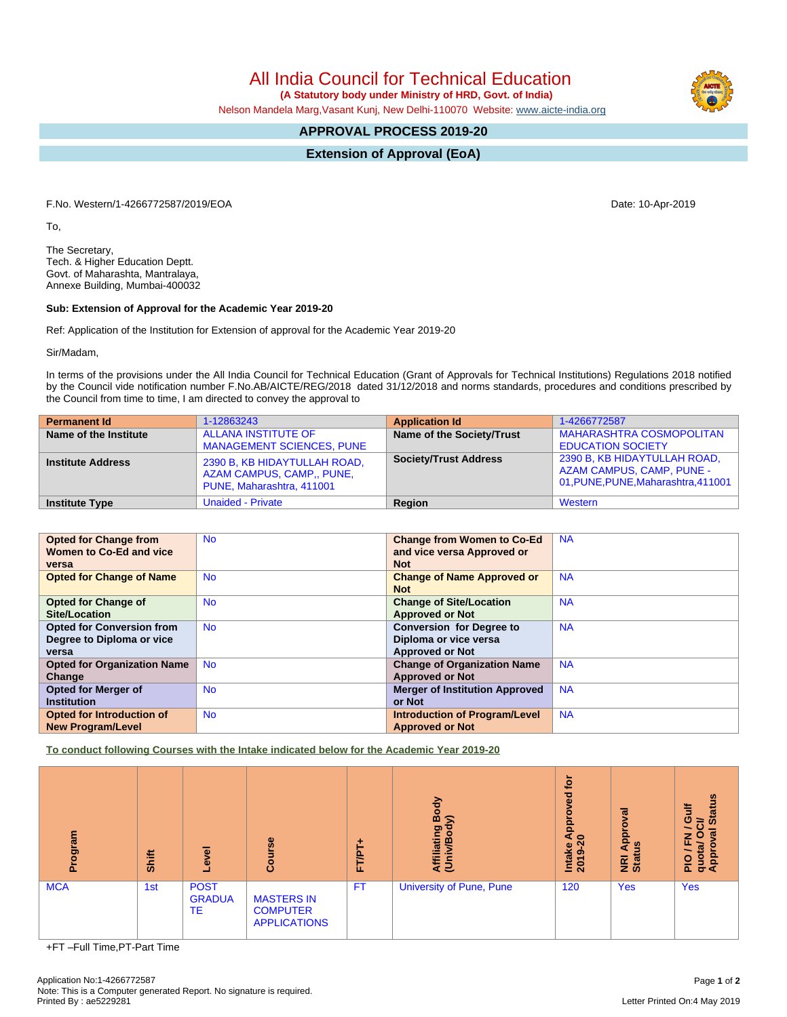All India Council for Technical Education

 **(A Statutory body under Ministry of HRD, Govt. of India)**

Nelson Mandela Marg,Vasant Kunj, New Delhi-110070 Website: [www.aicte-india.org](http://www.aicte-india.org)

## **APPROVAL PROCESS 2019-20**

**Extension of Approval (EoA)**

F.No. Western/1-4266772587/2019/EOA Date: 10-Apr-2019

To,

The Secretary, Tech. & Higher Education Deptt. Govt. of Maharashta, Mantralaya, Annexe Building, Mumbai-400032

#### **Sub: Extension of Approval for the Academic Year 2019-20**

Ref: Application of the Institution for Extension of approval for the Academic Year 2019-20

Sir/Madam,

In terms of the provisions under the All India Council for Technical Education (Grant of Approvals for Technical Institutions) Regulations 2018 notified by the Council vide notification number F.No.AB/AICTE/REG/2018 dated 31/12/2018 and norms standards, procedures and conditions prescribed by the Council from time to time, I am directed to convey the approval to

| <b>Permanent Id</b>      | 1-12863243                                                                             | <b>Application Id</b>        | 1-4266772587                                                                                            |
|--------------------------|----------------------------------------------------------------------------------------|------------------------------|---------------------------------------------------------------------------------------------------------|
| Name of the Institute    | <b>ALLANA INSTITUTE OF</b><br><b>MANAGEMENT SCIENCES, PUNE</b>                         | Name of the Society/Trust    | <b>MAHARASHTRA COSMOPOLITAN</b><br><b>EDUCATION SOCIETY</b>                                             |
| <b>Institute Address</b> | 2390 B, KB HIDAYTULLAH ROAD,<br>AZAM CAMPUS, CAMP., PUNE,<br>PUNE, Maharashtra, 411001 | <b>Society/Trust Address</b> | 2390 B, KB HIDAYTULLAH ROAD,<br><b>AZAM CAMPUS, CAMP, PUNE -</b><br>01, PUNE, PUNE, Maharashtra, 411001 |
| <b>Institute Type</b>    | <b>Unaided - Private</b>                                                               | Region                       | Western                                                                                                 |

| <b>Opted for Change from</b>       | <b>No</b> | <b>Change from Women to Co-Ed</b>     | <b>NA</b> |
|------------------------------------|-----------|---------------------------------------|-----------|
| Women to Co-Ed and vice            |           | and vice versa Approved or            |           |
| versa                              |           | <b>Not</b>                            |           |
| <b>Opted for Change of Name</b>    | <b>No</b> | <b>Change of Name Approved or</b>     | <b>NA</b> |
|                                    |           | <b>Not</b>                            |           |
| <b>Opted for Change of</b>         | <b>No</b> | <b>Change of Site/Location</b>        | <b>NA</b> |
| Site/Location                      |           | <b>Approved or Not</b>                |           |
| <b>Opted for Conversion from</b>   | <b>No</b> | <b>Conversion for Degree to</b>       | <b>NA</b> |
| Degree to Diploma or vice          |           | Diploma or vice versa                 |           |
| versa                              |           | <b>Approved or Not</b>                |           |
| <b>Opted for Organization Name</b> | <b>No</b> | <b>Change of Organization Name</b>    | <b>NA</b> |
| Change                             |           | <b>Approved or Not</b>                |           |
| <b>Opted for Merger of</b>         | <b>No</b> | <b>Merger of Institution Approved</b> | <b>NA</b> |
| <b>Institution</b>                 |           | or Not                                |           |
| <b>Opted for Introduction of</b>   | <b>No</b> | <b>Introduction of Program/Level</b>  | <b>NA</b> |
| <b>New Program/Level</b>           |           | <b>Approved or Not</b>                |           |

**To conduct following Courses with the Intake indicated below for the Academic Year 2019-20**

| $\lim$<br>ioa<br>ō | Shift | g<br>Φ.                            | Course                                                      | ۰<br>FT/PT | Body<br>ຣ<br>Affiliating<br>(Univ/Bod <sup>)</sup> | $\mathbf{\bar{e}}$<br><b>P</b><br>Appro<br>$\circ$<br>Intake<br>ග<br>$\overline{20}$ | Approval<br>۹<br><b>NE</b><br>Stat | <b>Status</b><br>高<br>O<br>ධි<br>$\sim$<br>$\overline{g}$<br>O<br>z<br>ш.<br>PIO/F<br>quota/<br>Approv |
|--------------------|-------|------------------------------------|-------------------------------------------------------------|------------|----------------------------------------------------|--------------------------------------------------------------------------------------|------------------------------------|--------------------------------------------------------------------------------------------------------|
| <b>MCA</b>         | 1st   | <b>POST</b><br><b>GRADUA</b><br>TE | <b>MASTERS IN</b><br><b>COMPUTER</b><br><b>APPLICATIONS</b> | <b>FT</b>  | <b>University of Pune, Pune</b>                    | 120                                                                                  | <b>Yes</b>                         | <b>Yes</b>                                                                                             |

+FT –Full Time,PT-Part Time